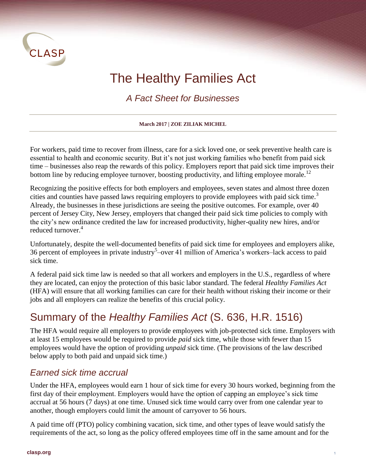

# The Healthy Families Act

*A Fact Sheet for Businesses*

**March 2017 | ZOE ZILIAK MICHEL**

For workers, paid time to recover from illness, care for a sick loved one, or seek preventive health care is essential to health and economic security. But it's not just working families who benefit from paid sick time – businesses also reap the rewards of this policy. Employers report that paid sick time improves their bottom line by reducing employee turnover, boosting productivity, and lifting employee morale.<sup>12</sup>

Recognizing the positive effects for both employers and employees, seven states and almost three dozen cities and counties have passed laws requiring employers to provide employees with paid sick time.<sup>3</sup> Already, the businesses in these jurisdictions are seeing the positive outcomes. For example, over 40 percent of Jersey City, New Jersey, employers that changed their paid sick time policies to comply with the city's new ordinance credited the law for increased productivity, higher-quality new hires, and/or reduced turnover.<sup>4</sup>

Unfortunately, despite the well-documented benefits of paid sick time for employees and employers alike, 36 percent of employees in private industry<sup>5</sup>-over 41 million of America's workers-lack access to paid sick time.

A federal paid sick time law is needed so that all workers and employers in the U.S., regardless of where they are located, can enjoy the protection of this basic labor standard. The federal *Healthy Families Act* (HFA) will ensure that all working families can care for their health without risking their income or their jobs and all employers can realize the benefits of this crucial policy.

## Summary of the *Healthy Families Act* (S. 636, H.R. 1516)

The HFA would require all employers to provide employees with job-protected sick time. Employers with at least 15 employees would be required to provide *paid* sick time, while those with fewer than 15 employees would have the option of providing *unpaid* sick time. (The provisions of the law described below apply to both paid and unpaid sick time.)

#### *Earned sick time accrual*

Under the HFA, employees would earn 1 hour of sick time for every 30 hours worked, beginning from the first day of their employment. Employers would have the option of capping an employee's sick time accrual at 56 hours (7 days) at one time. Unused sick time would carry over from one calendar year to another, though employers could limit the amount of carryover to 56 hours.

A paid time off (PTO) policy combining vacation, sick time, and other types of leave would satisfy the requirements of the act, so long as the policy offered employees time off in the same amount and for the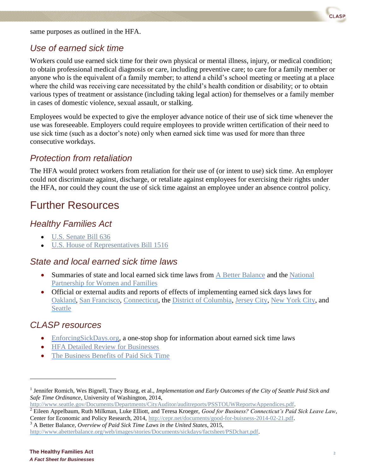same purposes as outlined in the HFA.

#### *Use of earned sick time*

Workers could use earned sick time for their own physical or mental illness, injury, or medical condition; to obtain professional medical diagnosis or care, including preventive care; to care for a family member or anyone who is the equivalent of a family member; to attend a child's school meeting or meeting at a place where the child was receiving care necessitated by the child's health condition or disability; or to obtain various types of treatment or assistance (including taking legal action) for themselves or a family member in cases of domestic violence, sexual assault, or stalking.

Employees would be expected to give the employer advance notice of their use of sick time whenever the use was foreseeable. Employers could require employees to provide written certification of their need to use sick time (such as a doctor's note) only when earned sick time was used for more than three consecutive workdays.

#### *Protection from retaliation*

The HFA would protect workers from retaliation for their use of (or intent to use) sick time. An employer could not discriminate against, discharge, or retaliate against employees for exercising their rights under the HFA, nor could they count the use of sick time against an employee under an absence control policy.

### Further Resources

#### *Healthy Families Act*

- [U.S. Senate Bill 636](https://www.congress.gov/bill/115th-congress/senate-bill/636/text)
- [U.S. House of Representatives Bill 1516](https://www.congress.gov/bill/115th-congress/house-bill/1516/text)

#### *State and local earned sick time laws*

- Summaries of state and local earned sick time laws from [A Better Balance](http://www.abetterbalance.org/web/images/stories/Documents/sickdays/factsheet/PSDchart.pdf) and the National [Partnership for Women and Families](http://www.nationalpartnership.org/research-library/work-family/psd/paid-sick-days-statutes.pdf)
- Official or external audits and reports of effects of implementing earned sick days laws for [Oakland,](https://oakland.legistar.com/LegislationDetail.aspx?ID=2139897&GUID=985A8D98-E4FE-491C-8F50-C58C7AFE69F4) [San Francisco,](https://iwpr.org/publications/san-franciscos-paid-sick-leave-ordinance-outcomes-for-employers-and-employees/) [Connecticut,](http://www.cepr.net/publications/reports/good-for-business-connecticuts-paid-leave-law) the [District of Columbia,](http://www.dcauditor.org/sites/default/files/DCA092013.pdf) [Jersey City,](http://smlr.rutgers.edu/sites/smlr.rutgers.edu/files/documents/Jersey_City_ESD_Issue_Brief.pdf) [New York City,](http://www1.nyc.gov/assets/dca/downloads/pdf/about/PaidSickLeaveLaw-FirstYearMilestones.pdf) and [Seattle](https://www.seattle.gov/Documents/Departments/CityAuditor/auditreports/PSSTOUWReportwAppendices.pdf)

#### *CLASP resources*

l

- [EnforcingSickDays.org,](http://www.enforcingsickdays.org/) a one-stop shop for information about earned sick time laws
- [HFA Detailed Review for Businesses](http://www.clasp.org/resources-and-publications/publication-1/HFA-Detailed-Review.pdf)
- [The Business Benefits of Paid Sick Time](http://www.clasp.org/resources-and-publications/publication-1/Business-Case-for-HFA-3.pdf)

[http://www.seattle.gov/Documents/Departments/CityAuditor/auditreports/PSSTOUWReportwAppendices.pdf.](http://www.seattle.gov/Documents/Departments/CityAuditor/auditreports/PSSTOUWReportwAppendices.pdf) 

<sup>2</sup> Eileen Appelbaum, Ruth Milkman, Luke Elliott, and Teresa Kroeger, *Good for Business? Connecticut's Paid Sick Leave Law*, Center for Economic and Policy Research, 2014, [http://cepr.net/documents/good-for-buisness-2014-02-21.pdf.](http://cepr.net/documents/good-for-buisness-2014-02-21.pdf) <sup>3</sup> A Better Balance, *Overview of Paid Sick Time Laws in the United States,* 2015,

[http://www.abetterbalance.org/web/images/stories/Documents/sickdays/factsheet/PSDchart.pdf.](http://www.abetterbalance.org/web/images/stories/Documents/sickdays/factsheet/PSDchart.pdf)

<sup>&</sup>lt;sup>1</sup> Jennifer Romich, Wes Bignell, Tracy Brazg, et al., *Implementation and Early Outcomes of the City of Seattle Paid Sick and Safe Time Ordinance*, University of Washington, 2014,